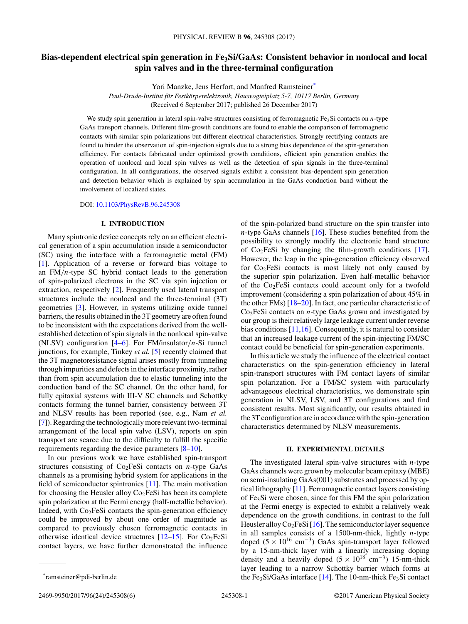# **Bias-dependent electrical spin generation in Fe3Si/GaAs: Consistent behavior in nonlocal and local spin valves and in the three-terminal configuration**

Yori Manzke, Jens Herfort, and Manfred Ramsteiner\*

*Paul-Drude-Institut für Festkörperelektronik, Hausvogteiplatz 5-7, 10117 Berlin, Germany* (Received 6 September 2017; published 26 December 2017)

We study spin generation in lateral spin-valve structures consisting of ferromagnetic Fe<sub>3</sub>Si contacts on *n*-type GaAs transport channels. Different film-growth conditions are found to enable the comparison of ferromagnetic contacts with similar spin polarizations but different electrical characteristics. Strongly rectifying contacts are found to hinder the observation of spin-injection signals due to a strong bias dependence of the spin-generation efficiency. For contacts fabricated under optimized growth conditions, efficient spin generation enables the operation of nonlocal and local spin valves as well as the detection of spin signals in the three-terminal configuration. In all configurations, the observed signals exhibit a consistent bias-dependent spin generation and detection behavior which is explained by spin accumulation in the GaAs conduction band without the involvement of localized states.

DOI: [10.1103/PhysRevB.96.245308](https://doi.org/10.1103/PhysRevB.96.245308)

## **I. INTRODUCTION**

Many spintronic device concepts rely on an efficient electrical generation of a spin accumulation inside a semiconductor (SC) using the interface with a ferromagnetic metal (FM) [\[1\]](#page-4-0). Application of a reverse or forward bias voltage to an FM*/n*-type SC hybrid contact leads to the generation of spin-polarized electrons in the SC via spin injection or extraction, respectively [\[2\]](#page-4-0). Frequently used lateral transport structures include the nonlocal and the three-terminal (3T) geometries [\[3\]](#page-4-0). However, in systems utilizing oxide tunnel barriers, the results obtained in the 3T geometry are often found to be inconsistent with the expectations derived from the wellestablished detection of spin signals in the nonlocal spin-valve (NLSV) configuration [\[4–6\]](#page-4-0). For FM/insulator*/n*-Si tunnel junctions, for example, Tinkey *et al.* [\[5\]](#page-4-0) recently claimed that the 3T magnetoresistance signal arises mostly from tunneling through impurities and defects in the interface proximity, rather than from spin accumulation due to elastic tunneling into the conduction band of the SC channel. On the other hand, for fully epitaxial systems with III-V SC channels and Schottky contacts forming the tunnel barrier, consistency between 3T and NLSV results has been reported (see, e.g., Nam *et al.* [\[7\]](#page-4-0)). Regarding the technologically more relevant two-terminal arrangement of the local spin valve (LSV), reports on spin transport are scarce due to the difficulty to fulfill the specific requirements regarding the device parameters [\[8–10\]](#page-4-0).

In our previous work we have established spin-transport structures consisting of Co2FeSi contacts on *n*-type GaAs channels as a promising hybrid system for applications in the field of semiconductor spintronics [\[11\]](#page-4-0). The main motivation for choosing the Heusler alloy  $Co<sub>2</sub>FeSi$  has been its complete spin polarization at the Fermi energy (half-metallic behavior). Indeed, with  $Co<sub>2</sub>FeSi$  contacts the spin-generation efficiency could be improved by about one order of magnitude as compared to previously chosen ferromagnetic contacts in otherwise identical device structures  $[12–15]$  $[12–15]$ . For Co<sub>2</sub>FeSi contact layers, we have further demonstrated the influence of the spin-polarized band structure on the spin transfer into

In this article we study the influence of the electrical contact characteristics on the spin-generation efficiency in lateral spin-transport structures with FM contact layers of similar spin polarization. For a FM/SC system with particularly advantageous electrical characteristics, we demonstrate spin generation in NLSV, LSV, and 3T configurations and find consistent results. Most significantly, our results obtained in the 3T configuration are in accordance with the spin-generation characteristics determined by NLSV measurements.

#### **II. EXPERIMENTAL DETAILS**

The investigated lateral spin-valve structures with *n*-type GaAs channels were grown by molecular beam epitaxy (MBE) on semi-insulating GaAs(001) substrates and processed by optical lithography [\[11\]](#page-4-0). Ferromagnetic contact layers consisting of Fe3Si were chosen, since for this FM the spin polarization at the Fermi energy is expected to exhibit a relatively weak dependence on the growth conditions, in contrast to the full Heusler alloy  $Co<sub>2</sub>FeSi [16]$  $Co<sub>2</sub>FeSi [16]$ . The semiconductor layer sequence in all samples consists of a 1500-nm-thick, lightly *n*-type doped  $(5 \times 10^{16} \text{ cm}^{-3})$  GaAs spin-transport layer followed by a 15-nm-thick layer with a linearly increasing doping density and a heavily doped  $(5 \times 10^{18} \text{ cm}^{-3})$  15-nm-thick layer leading to a narrow Schottky barrier which forms at the Fe<sub>3</sub>Si/GaAs interface [\[14\]](#page-5-0). The 10-nm-thick Fe<sub>3</sub>Si contact

*n*-type GaAs channels [\[16\]](#page-5-0). These studies benefited from the possibility to strongly modify the electronic band structure of  $Co<sub>2</sub>FeSi$  by changing the film-growth conditions [\[17\]](#page-5-0). However, the leap in the spin-generation efficiency observed for  $Co<sub>2</sub>FeSi$  contacts is most likely not only caused by the superior spin polarization. Even half-metallic behavior of the Co2FeSi contacts could account only for a twofold improvement (considering a spin polarization of about 45% in the other FMs) [\[18–20\]](#page-5-0). In fact, one particular characteristic of  $Co<sub>2</sub>FeSi$  contacts on *n*-type GaAs grown and investigated by our group is their relatively large leakage current under reverse bias conditions [\[11](#page-4-0)[,16\]](#page-5-0). Consequently, it is natural to consider that an increased leakage current of the spin-injecting FM/SC contact could be beneficial for spin-generation experiments.

<sup>\*</sup>ramsteiner@pdi-berlin.de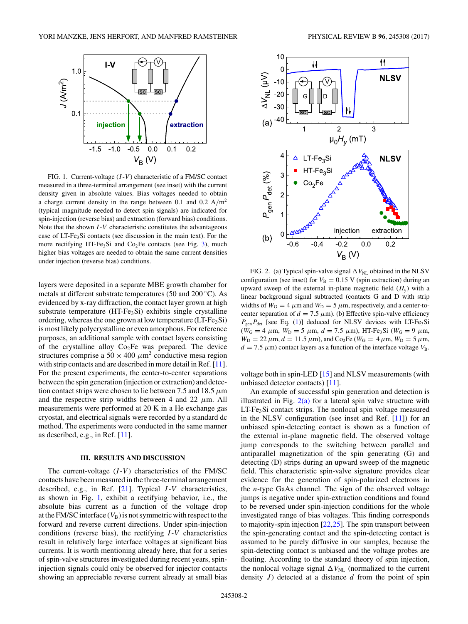<span id="page-1-0"></span>

FIG. 1. Current-voltage (*I* -*V* ) characteristic of a FM/SC contact measured in a three-terminal arrangement (see inset) with the current density given in absolute values. Bias voltages needed to obtain a charge current density in the range between 0.1 and 0.2 A*/*m2 (typical magnitude needed to detect spin signals) are indicated for spin-injection (reverse bias) and extraction (forward bias) conditions. Note that the shown *I* -*V* characteristic constitutes the advantageous case of LT-Fe<sub>3</sub>Si contacts (see discussion in the main text). For the more rectifying HT-Fe<sub>3</sub>Si and Co<sub>2</sub>Fe contacts (see Fig. [3\)](#page-2-0), much higher bias voltages are needed to obtain the same current densities under injection (reverse bias) conditions.

layers were deposited in a separate MBE growth chamber for metals at different substrate temperatures (50 and 200 ◦C). As evidenced by x-ray diffraction, the contact layer grown at high substrate temperature  $(HT-Fe<sub>3</sub>Si)$  exhibits single crystalline ordering, whereas the one grown at low temperature  $(LT-Fe<sub>3</sub>Si)$ is most likely polycrystalline or even amorphous. For reference purposes, an additional sample with contact layers consisting of the crystalline alloy  $Co<sub>2</sub>Fe$  was prepared. The device structures comprise a  $50 \times 400 \ \mu m^2$  conductive mesa region with strip contacts and are described in more detail in Ref. [\[11\]](#page-4-0). For the present experiments, the center-to-center separations between the spin generation (injection or extraction) and detection contact strips were chosen to lie between 7.5 and 18.5 *μ*m and the respective strip widths between 4 and 22 *μ*m. All measurements were performed at 20 K in a He exchange gas cryostat, and electrical signals were recorded by a standard dc method. The experiments were conducted in the same manner as described, e.g., in Ref. [\[11\]](#page-4-0).

#### **III. RESULTS AND DISCUSSION**

The current-voltage (*I*-*V*) characteristics of the FM/SC contacts have been measured in the three-terminal arrangement described, e.g., in Ref. [\[21\]](#page-5-0). Typical *I* -*V* characteristics, as shown in Fig. 1, exhibit a rectifying behavior, i.e., the absolute bias current as a function of the voltage drop at the FM/SC interface  $(V_B)$  is not symmetric with respect to the forward and reverse current directions. Under spin-injection conditions (reverse bias), the rectifying *I* -*V* characteristics result in relatively large interface voltages at significant bias currents. It is worth mentioning already here, that for a series of spin-valve structures investigated during recent years, spininjection signals could only be observed for injector contacts showing an appreciable reverse current already at small bias



FIG. 2. (a) Typical spin-valve signal  $\Delta V_{NL}$  obtained in the NLSV configuration (see inset) for  $V_B = 0.15$  V (spin extraction) during an upward sweep of the external in-plane magnetic field  $(H<sub>y</sub>)$  with a linear background signal subtracted (contacts G and D with strip widths of  $W_G = 4 \mu m$  and  $W_D = 5 \mu m$ , respectively, and a center-tocenter separation of  $d = 7.5 \mu$ m). (b) Effective spin-valve efficiency  $P_{gen}P_{det}$  [see Eq. [\(1\)](#page-2-0)] deduced for NLSV devices with LT-Fe<sub>3</sub>Si  $(W_G = 4 \mu m, W_D = 5 \mu m, d = 7.5 \mu m)$ , HT-Fe<sub>3</sub>Si ( $W_G = 9 \mu m$ ,  $W_{\text{D}} = 22 \ \mu \text{m}, d = 11.5 \ \mu \text{m}$ ), and Co<sub>2</sub>Fe ( $W_{\text{G}} = 4 \ \mu \text{m}, W_{\text{D}} = 5 \ \mu \text{m}$ ,  $d = 7.5 \mu m$ ) contact layers as a function of the interface voltage  $V_B$ .

voltage both in spin-LED [\[15\]](#page-5-0) and NLSV measurements (with unbiased detector contacts) [\[11\]](#page-4-0).

An example of successful spin generation and detection is illustrated in Fig.  $2(a)$  for a lateral spin valve structure with  $LT-Fe<sub>3</sub>Si contact strips. The nonlocal spin voltage measured$ in the NLSV configuration (see inset and Ref. [\[11\]](#page-4-0)) for an unbiased spin-detecting contact is shown as a function of the external in-plane magnetic field. The observed voltage jump corresponds to the switching between parallel and antiparallel magnetization of the spin generating (G) and detecting (D) strips during an upward sweep of the magnetic field. This characteristic spin-valve signature provides clear evidence for the generation of spin-polarized electrons in the *n*-type GaAs channel. The sign of the observed voltage jumps is negative under spin-extraction conditions and found to be reversed under spin-injection conditions for the whole investigated range of bias voltages. This finding corresponds to majority-spin injection [\[22,25\]](#page-5-0). The spin transport between the spin-generating contact and the spin-detecting contact is assumed to be purely diffusive in our samples, because the spin-detecting contact is unbiased and the voltage probes are floating. According to the standard theory of spin injection, the nonlocal voltage signal  $\Delta V_{NL}$  (normalized to the current density *J* ) detected at a distance *d* from the point of spin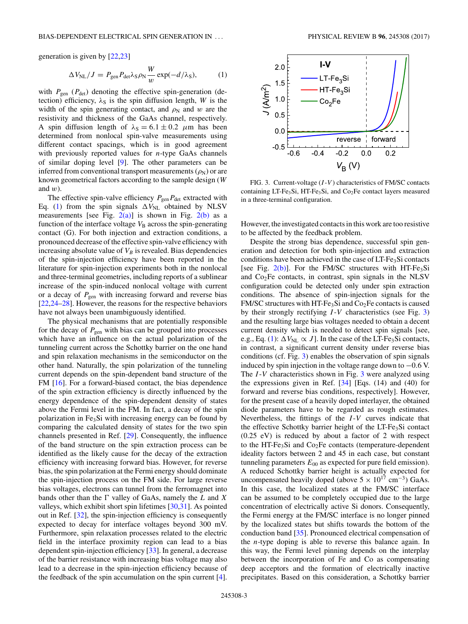<span id="page-2-0"></span>generation is given by [\[22,23\]](#page-5-0)

$$
\Delta V_{\rm NL}/J = P_{\rm gen} P_{\rm det} \lambda_S \rho_{\rm N} \frac{W}{w} \exp(-d/\lambda_S),\tag{1}
$$

with  $P_{\text{gen}}$  ( $P_{\text{det}}$ ) denoting the effective spin-generation (detection) efficiency,  $\lambda_S$  is the spin diffusion length, *W* is the width of the spin generating contact, and  $\rho_N$  and *w* are the resistivity and thickness of the GaAs channel, respectively. A spin diffusion length of  $\lambda_s = 6.1 \pm 0.2$   $\mu$ m has been determined from nonlocal spin-valve measurements using different contact spacings, which is in good agreement with previously reported values for *n*-type GaAs channels of similar doping level [\[9\]](#page-4-0). The other parameters can be inferred from conventional transport measurements  $(\rho_N)$  or are known geometrical factors according to the sample design (*W* and *w*).

The effective spin-valve efficiency  $P_{\text{gen}}P_{\text{det}}$  extracted with Eq. (1) from the spin signals  $\Delta V_{NL}$  obtained by NLSV measurements [see Fig.  $2(a)$ ] is shown in Fig.  $2(b)$  as a function of the interface voltage  $V<sub>B</sub>$  across the spin-generating contact (G). For both injection and extraction conditions, a pronounced decrease of the effective spin-valve efficiency with increasing absolute value of  $V_B$  is revealed. Bias dependencies of the spin-injection efficiency have been reported in the literature for spin-injection experiments both in the nonlocal and three-terminal geometries, including reports of a sublinear increase of the spin-induced nonlocal voltage with current or a decay of  $P_{gen}$  with increasing forward and reverse bias [\[22,24–28\]](#page-5-0). However, the reasons for the respective behaviors have not always been unambiguously identified.

The physical mechanisms that are potentially responsible for the decay of  $P_{gen}$  with bias can be grouped into processes which have an influence on the actual polarization of the tunneling current across the Schottky barrier on the one hand and spin relaxation mechanisms in the semiconductor on the other hand. Naturally, the spin polarization of the tunneling current depends on the spin-dependent band structure of the FM [\[16\]](#page-5-0). For a forward-biased contact, the bias dependence of the spin extraction efficiency is directly influenced by the energy dependence of the spin-dependent density of states above the Fermi level in the FM. In fact, a decay of the spin polarization in Fe3Si with increasing energy can be found by comparing the calculated density of states for the two spin channels presented in Ref. [\[29\]](#page-5-0). Consequently, the influence of the band structure on the spin extraction process can be identified as the likely cause for the decay of the extraction efficiency with increasing forward bias. However, for reverse bias, the spin polarization at the Fermi energy should dominate the spin-injection process on the FM side. For large reverse bias voltages, electrons can tunnel from the ferromagnet into bands other than the  $\Gamma$  valley of GaAs, namely the  $L$  and  $X$ valleys, which exhibit short spin lifetimes [\[30,31\]](#page-5-0). As pointed out in Ref. [\[32\]](#page-5-0), the spin-injection efficiency is consequently expected to decay for interface voltages beyond 300 mV. Furthermore, spin relaxation processes related to the electric field in the interface proximity region can lead to a bias dependent spin-injection efficiency [\[33\]](#page-5-0). In general, a decrease of the barrier resistance with increasing bias voltage may also lead to a decrease in the spin-injection efficiency because of the feedback of the spin accumulation on the spin current [\[4\]](#page-4-0).



FIG. 3. Current-voltage (*I* -*V* ) characteristics of FM/SC contacts containing LT-Fe<sub>3</sub>Si, HT-Fe<sub>3</sub>Si, and Co<sub>2</sub>Fe contact layers measured in a three-terminal configuration.

However, the investigated contacts in this work are too resistive to be affected by the feedback problem.

Despite the strong bias dependence, successful spin generation and detection for both spin-injection and extraction conditions have been achieved in the case of LT-Fe<sub>3</sub>Si contacts [see Fig.  $2(b)$ ]. For the FM/SC structures with HT-Fe<sub>3</sub>Si and Co2Fe contacts, in contrast, spin signals in the NLSV configuration could be detected only under spin extraction conditions. The absence of spin-injection signals for the FM/SC structures with HT-Fe<sub>3</sub>Si and  $Co<sub>2</sub>Fe$  contacts is caused by their strongly rectifying *I* -*V* characteristics (see Fig. 3) and the resulting large bias voltages needed to obtain a decent current density which is needed to detect spin signals [see, e.g., Eq. (1):  $\Delta V_{NL} \propto J$ . In the case of the LT-Fe<sub>3</sub>Si contacts, in contrast, a significant current density under reverse bias conditions (cf. Fig. 3) enables the observation of spin signals induced by spin injection in the voltage range down to −0*.*6 V. The *I* -*V* characteristics shown in Fig. 3 were analyzed using the expressions given in Ref. [\[34\]](#page-5-0) [Eqs. (14) and (40) for forward and reverse bias conditions, respectively]. However, for the present case of a heavily doped interlayer, the obtained diode parameters have to be regarded as rough estimates. Nevertheless, the fittings of the *I* -*V* curves indicate that the effective Schottky barrier height of the LT-Fe<sub>3</sub>Si contact (0.25 eV) is reduced by about a factor of 2 with respect to the HT-Fe<sub>3</sub>Si and  $Co<sub>2</sub>Fe$  contacts (temperature-dependent ideality factors between 2 and 45 in each case, but constant tunneling parameters  $E_{00}$  as expected for pure field emission). A reduced Schottky barrier height is actually expected for uncompensated heavily doped (above  $5 \times 10^{17}$  cm<sup>-3</sup>) GaAs. In this case, the localized states at the FM/SC interface can be assumed to be completely occupied due to the large concentration of electrically active Si donors. Consequently, the Fermi energy at the FM/SC interface is no longer pinned by the localized states but shifts towards the bottom of the conduction band [\[35\]](#page-5-0). Pronounced electrical compensation of the *n*-type doping is able to reverse this balance again. In this way, the Fermi level pinning depends on the interplay between the incorporation of Fe and Co as compensating deep acceptors and the formation of electrically inactive precipitates. Based on this consideration, a Schottky barrier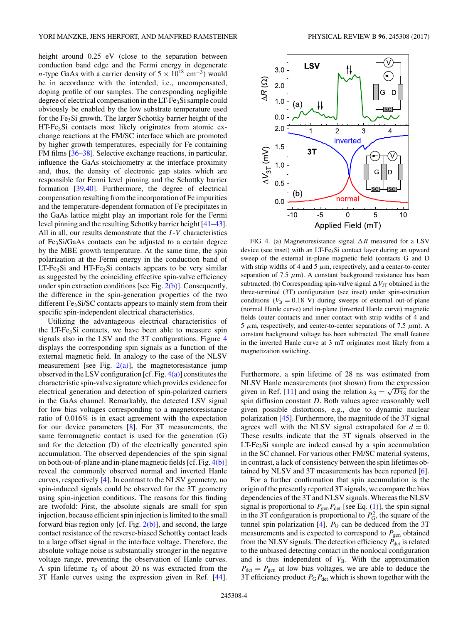<span id="page-3-0"></span>height around 0.25 eV (close to the separation between conduction band edge and the Fermi energy in degenerate *n*-type GaAs with a carrier density of  $5 \times 10^{18}$  cm<sup>-3</sup>) would be in accordance with the intended, i.e., uncompensated, doping profile of our samples. The corresponding negligible degree of electrical compensation in the LT-Fe<sub>3</sub>Si sample could obviously be enabled by the low substrate temperature used for the  $Fe<sub>3</sub>Si$  growth. The larger Schottky barrier height of the HT-Fe<sub>3</sub>Si contacts most likely originates from atomic exchange reactions at the FM/SC interface which are promoted by higher growth temperatures, especially for Fe containing FM films [\[36–38\]](#page-5-0). Selective exchange reactions, in particular, influence the GaAs stoichiometry at the interface proximity and, thus, the density of electronic gap states which are responsible for Fermi level pinning and the Schottky barrier formation [\[39,40\]](#page-5-0). Furthermore, the degree of electrical compensation resulting from the incorporation of Fe impurities and the temperature-dependent formation of Fe precipitates in the GaAs lattice might play an important role for the Fermi level pinning and the resulting Schottky barrier height [\[41–43\]](#page-5-0). All in all, our results demonstrate that the *I* -*V* characteristics of Fe3Si/GaAs contacts can be adjusted to a certain degree by the MBE growth temperature. At the same time, the spin polarization at the Fermi energy in the conduction band of  $LT\text{-}Fe<sub>3</sub>Si$  and  $HT\text{-}Fe<sub>3</sub>Si$  contacts appears to be very similar as suggested by the coinciding effective spin-valve efficiency under spin extraction conditions [see Fig.  $2(b)$ ]. Consequently, the difference in the spin-generation properties of the two different Fe<sub>3</sub>Si/SC contacts appears to mainly stem from their specific spin-independent electrical characteristics.

Utilizing the advantageous electrical characteristics of the LT-Fe<sub>3</sub>Si contacts, we have been able to measure spin signals also in the LSV and the 3T configurations. Figure 4 displays the corresponding spin signals as a function of the external magnetic field. In analogy to the case of the NLSV measurement [see Fig.  $2(a)$ ], the magnetoresistance jump observed in the LSV configuration [cf. Fig. 4(a)] constitutes the characteristic spin-valve signature which provides evidence for electrical generation and detection of spin-polarized carriers in the GaAs channel. Remarkably, the detected LSV signal for low bias voltages corresponding to a magnetoresistance ratio of 0.016% is in exact agreement with the expectation for our device parameters [\[8\]](#page-4-0). For 3T measurements, the same ferromagnetic contact is used for the generation (G) and for the detection (D) of the electrically generated spin accumulation. The observed dependencies of the spin signal on both out-of-plane and in-plane magnetic fields [cf. Fig. 4(b)] reveal the commonly observed normal and inverted Hanle curves, respectively [\[4\]](#page-4-0). In contrast to the NLSV geometry, no spin-induced signals could be observed for the 3T geometry using spin-injection conditions. The reasons for this finding are twofold: First, the absolute signals are small for spin injection, because efficient spin injection is limited to the small forward bias region only [cf. Fig.  $2(b)$ ], and second, the large contact resistance of the reverse-biased Schottky contact leads to a large offset signal in the interface voltage. Therefore, the absolute voltage noise is substantially stronger in the negative voltage range, preventing the observation of Hanle curves. A spin lifetime  $\tau_S$  of about 20 ns was extracted from the 3T Hanle curves using the expression given in Ref. [\[44\]](#page-5-0).



FIG. 4. (a) Magnetoresistance signal  $\Delta R$  measured for a LSV device (see inset) with an LT-Fe3Si contact layer during an upward sweep of the external in-plane magnetic field (contacts G and D with strip widths of 4 and 5  $\mu$ m, respectively, and a center-to-center separation of 7.5  $\mu$ m). A constant background resistance has been subtracted. (b) Corresponding spin-valve signal  $\Delta V_{3T}$  obtained in the three-terminal (3T) configuration (see inset) under spin-extraction conditions ( $V_B = 0.18$  V) during sweeps of external out-of-plane (normal Hanle curve) and in-plane (inverted Hanle curve) magnetic fields (outer contacts and inner contact with strip widths of 4 and 5  $μ$ m, respectively, and center-to-center separations of 7.5  $μ$ m). A constant background voltage has been subtracted. The small feature in the inverted Hanle curve at 3 mT originates most likely from a magnetization switching.

Furthermore, a spin lifetime of 28 ns was estimated from NLSV Hanle measurements (not shown) from the expression given in Ref. [\[11\]](#page-4-0) and using the relation  $\lambda_{\rm S} = \sqrt{D \tau_{\rm S}}$  for the spin diffusion constant *D*. Both values agree reasonably well given possible distortions, e.g., due to dynamic nuclear polarization [\[45\]](#page-5-0). Furthermore, the magnitude of the 3T signal agrees well with the NLSV signal extrapolated for  $d = 0$ . These results indicate that the 3T signals observed in the  $LT-Fe<sub>3</sub>Si$  sample are indeed caused by a spin accumulation in the SC channel. For various other FM/SC material systems, in contrast, a lack of consistency between the spin lifetimes obtained by NLSV and 3T measurements has been reported [\[6\]](#page-4-0).

For a further confirmation that spin accumulation is the origin of the presently reported 3T signals, we compare the bias dependencies of the 3T and NLSV signals. Whereas the NLSV signal is proportional to  $P_{\text{gen}}P_{\text{det}}$  [see Eq. [\(1\)](#page-2-0)], the spin signal in the 3T configuration is proportional to  $P_G^2$ , the square of the tunnel spin polarization  $[4]$ .  $P_G$  can be deduced from the 3T measurements and is expected to correspond to  $P_{\text{gen}}$  obtained from the NLSV signals. The detection efficiency  $P_{\text{det}}$  is related to the unbiased detecting contact in the nonlocal configuration and is thus independent of  $V<sub>B</sub>$ . With the approximation  $P_{\text{det}} = P_{\text{gen}}$  at low bias voltages, we are able to deduce the 3T efficiency product  $P_GP_{det}$  which is shown together with the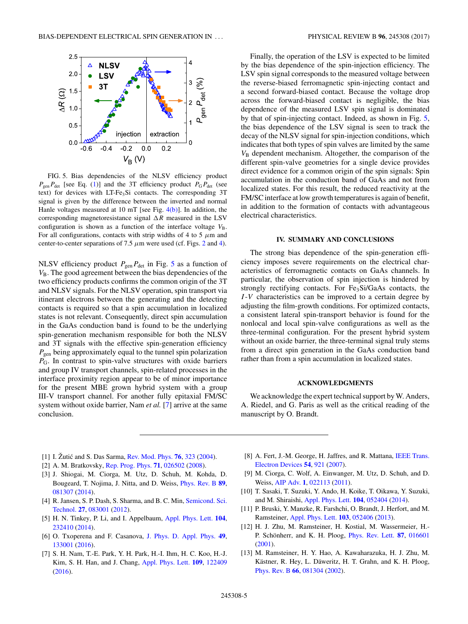<span id="page-4-0"></span>

FIG. 5. Bias dependencies of the NLSV efficiency product  $P_{\text{gen}}P_{\text{det}}$  [see Eq. [\(1\)](#page-2-0)] and the 3T efficiency product  $P_{\text{G}}P_{\text{det}}$  (see text) for devices with LT-Fe<sub>3</sub>Si contacts. The corresponding 3T signal is given by the difference between the inverted and normal Hanle voltages measured at 10 mT [see Fig. [4\(b\)\]](#page-3-0). In addition, the corresponding magnetoresistance signal  $\Delta R$  measured in the LSV configuration is shown as a function of the interface voltage  $V_{\rm B}$ . For all configurations, contacts with strip widths of 4 to 5  $\mu$ m and center-to-center separations of 7.5  $\mu$ m were used (cf. Figs. [2](#page-1-0) and [4\)](#page-3-0).

NLSV efficiency product  $P_{\text{gen}}P_{\text{det}}$  in Fig. 5 as a function of *V*B. The good agreement between the bias dependencies of the two efficiency products confirms the common origin of the 3T and NLSV signals. For the NLSV operation, spin transport via itinerant electrons between the generating and the detecting contacts is required so that a spin accumulation in localized states is not relevant. Consequently, direct spin accumulation in the GaAs conduction band is found to be the underlying spin-generation mechanism responsible for both the NLSV and 3T signals with the effective spin-generation efficiency *P*gen being approximately equal to the tunnel spin polarization *P<sub>G</sub>*. In contrast to spin-valve structures with oxide barriers and group IV transport channels, spin-related processes in the interface proximity region appear to be of minor importance for the present MBE grown hybrid system with a group III-V transport channel. For another fully epitaxial FM/SC system without oxide barrier, Nam *et al.* [7] arrive at the same conclusion.

Finally, the operation of the LSV is expected to be limited by the bias dependence of the spin-injection efficiency. The LSV spin signal corresponds to the measured voltage between the reverse-biased ferromagnetic spin-injecting contact and a second forward-biased contact. Because the voltage drop across the forward-biased contact is negligible, the bias dependence of the measured LSV spin signal is dominated by that of spin-injecting contact. Indeed, as shown in Fig. 5, the bias dependence of the LSV signal is seen to track the decay of the NLSV signal for spin-injection conditions, which indicates that both types of spin valves are limited by the same *V*<sub>B</sub> dependent mechanism. Altogether, the comparison of the different spin-valve geometries for a single device provides direct evidence for a common origin of the spin signals: Spin accumulation in the conduction band of GaAs and not from localized states. For this result, the reduced reactivity at the FM/SC interface at low growth temperatures is again of benefit, in addition to the formation of contacts with advantageous electrical characteristics.

### **IV. SUMMARY AND CONCLUSIONS**

The strong bias dependence of the spin-generation efficiency imposes severe requirements on the electrical characteristics of ferromagnetic contacts on GaAs channels. In particular, the observation of spin injection is hindered by strongly rectifying contacts. For  $Fe<sub>3</sub>Si/GaAs$  contacts, the *I* -*V* characteristics can be improved to a certain degree by adjusting the film-growth conditions. For optimized contacts, a consistent lateral spin-transport behavior is found for the nonlocal and local spin-valve configurations as well as the three-terminal configuration. For the present hybrid system without an oxide barrier, the three-terminal signal truly stems from a direct spin generation in the GaAs conduction band rather than from a spin accumulation in localized states.

#### **ACKNOWLEDGMENTS**

We acknowledge the expert technical support by W. Anders, A. Riedel, and G. Paris as well as the critical reading of the manuscript by O. Brandt.

- [1] I. Žutić and S. Das Sarma, [Rev. Mod. Phys.](https://doi.org/10.1103/RevModPhys.76.323) **[76](https://doi.org/10.1103/RevModPhys.76.323)**, [323](https://doi.org/10.1103/RevModPhys.76.323) [\(2004\)](https://doi.org/10.1103/RevModPhys.76.323).
- [2] A. M. Bratkovsky, [Rep. Prog. Phys.](https://doi.org/10.1088/0034-4885/71/2/026502) **[71](https://doi.org/10.1088/0034-4885/71/2/026502)**, [026502](https://doi.org/10.1088/0034-4885/71/2/026502) [\(2008\)](https://doi.org/10.1088/0034-4885/71/2/026502).
- [3] J. Shiogai, M. Ciorga, M. Utz, D. Schuh, M. Kohda, D. Bougeard, T. Nojima, J. Nitta, and D. Weiss, [Phys. Rev. B](https://doi.org/10.1103/PhysRevB.89.081307) **[89](https://doi.org/10.1103/PhysRevB.89.081307)**, [081307](https://doi.org/10.1103/PhysRevB.89.081307) [\(2014\)](https://doi.org/10.1103/PhysRevB.89.081307).
- [4] [R. Jansen, S. P. Dash, S. Sharma, and B. C. Min,](https://doi.org/10.1088/0268-1242/27/8/083001) Semicond. Sci. Technol. **[27](https://doi.org/10.1088/0268-1242/27/8/083001)**, [083001](https://doi.org/10.1088/0268-1242/27/8/083001) [\(2012\)](https://doi.org/10.1088/0268-1242/27/8/083001).
- [5] H. N. Tinkey, P. Li, and I. Appelbaum, [Appl. Phys. Lett.](https://doi.org/10.1063/1.4883638) **[104](https://doi.org/10.1063/1.4883638)**, [232410](https://doi.org/10.1063/1.4883638) [\(2014\)](https://doi.org/10.1063/1.4883638).
- [6] O. Txoperena and F. Casanova, [J. Phys. D. Appl. Phys.](https://doi.org/10.1088/0022-3727/49/13/133001) **[49](https://doi.org/10.1088/0022-3727/49/13/133001)**, [133001](https://doi.org/10.1088/0022-3727/49/13/133001) [\(2016\)](https://doi.org/10.1088/0022-3727/49/13/133001).
- [7] S. H. Nam, T.-E. Park, Y. H. Park, H.-I. Ihm, H. C. Koo, H.-J. Kim, S. H. Han, and J. Chang, [Appl. Phys. Lett.](https://doi.org/10.1063/1.4963281) **[109](https://doi.org/10.1063/1.4963281)**, [122409](https://doi.org/10.1063/1.4963281) [\(2016\)](https://doi.org/10.1063/1.4963281).
- [8] [A. Fert, J.-M. George, H. Jaffres, and R. Mattana,](https://doi.org/10.1109/TED.2007.894372) IEEE Trans. Electron Devices **[54](https://doi.org/10.1109/TED.2007.894372)**, [921](https://doi.org/10.1109/TED.2007.894372) [\(2007\)](https://doi.org/10.1109/TED.2007.894372).
- [9] M. Ciorga, C. Wolf, A. Einwanger, M. Utz, D. Schuh, and D. Weiss, [AIP Adv.](https://doi.org/10.1063/1.3591397) **[1](https://doi.org/10.1063/1.3591397)**, [022113](https://doi.org/10.1063/1.3591397) [\(2011\)](https://doi.org/10.1063/1.3591397).
- [10] T. Sasaki, T. Suzuki, Y. Ando, H. Koike, T. Oikawa, Y. Suzuki, and M. Shiraishi, [Appl. Phys. Lett.](https://doi.org/10.1063/1.4863818) **[104](https://doi.org/10.1063/1.4863818)**, [052404](https://doi.org/10.1063/1.4863818) [\(2014\)](https://doi.org/10.1063/1.4863818).
- [11] P. Bruski, Y. Manzke, R. Farshchi, O. Brandt, J. Herfort, and M. Ramsteiner, [Appl. Phys. Lett.](https://doi.org/10.1063/1.4817270) **[103](https://doi.org/10.1063/1.4817270)**, [052406](https://doi.org/10.1063/1.4817270) [\(2013\)](https://doi.org/10.1063/1.4817270).
- [12] H. J. Zhu, M. Ramsteiner, H. Kostial, M. Wassermeier, H.- P. Schönherr, and K. H. Ploog, [Phys. Rev. Lett.](https://doi.org/10.1103/PhysRevLett.87.016601) **[87](https://doi.org/10.1103/PhysRevLett.87.016601)**, [016601](https://doi.org/10.1103/PhysRevLett.87.016601) [\(2001\)](https://doi.org/10.1103/PhysRevLett.87.016601).
- [13] M. Ramsteiner, H. Y. Hao, A. Kawaharazuka, H. J. Zhu, M. Kästner, R. Hey, L. Däweritz, H. T. Grahn, and K. H. Ploog, [Phys. Rev. B](https://doi.org/10.1103/PhysRevB.66.081304) **[66](https://doi.org/10.1103/PhysRevB.66.081304)**, [081304](https://doi.org/10.1103/PhysRevB.66.081304) [\(2002\)](https://doi.org/10.1103/PhysRevB.66.081304).